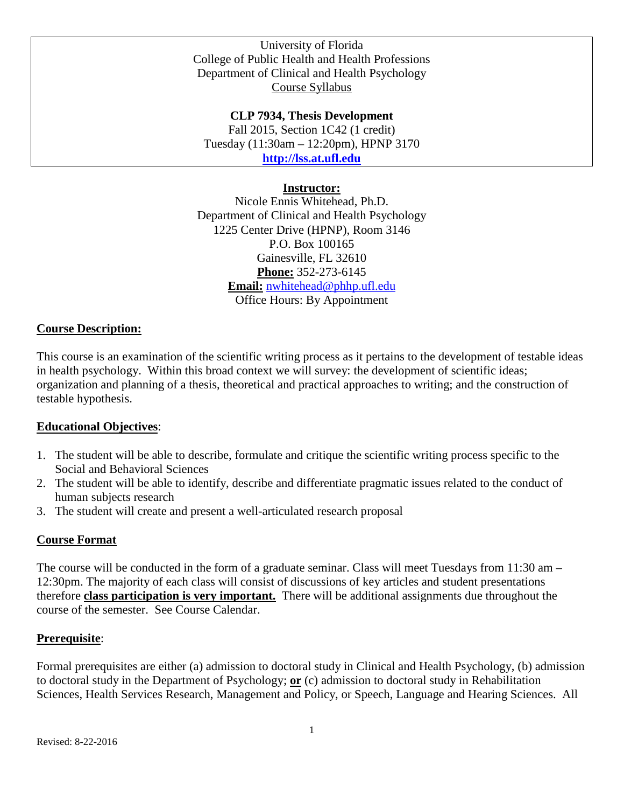University of Florida College of Public Health and Health Professions Department of Clinical and Health Psychology Course Syllabus

**CLP 7934, Thesis Development** Fall 2015, Section 1C42 (1 credit) Tuesday (11:30am – 12:20pm), HPNP 3170 **[http://lss.at.ufl.edu](http://lss.at.ufl.edu/)**

#### **Instructor:**

Nicole Ennis Whitehead, Ph.D. Department of Clinical and Health Psychology 1225 Center Drive (HPNP), Room 3146 P.O. Box 100165 Gainesville, FL 32610 **Phone:** 352-273-6145 **Email:** [nwhitehead@phhp.ufl.edu](mailto:nwhitehead@phhp.ufl.edu) Office Hours: By Appointment

#### **Course Description:**

This course is an examination of the scientific writing process as it pertains to the development of testable ideas in health psychology. Within this broad context we will survey: the development of scientific ideas; organization and planning of a thesis, theoretical and practical approaches to writing; and the construction of testable hypothesis.

#### **Educational Objectives**:

- 1. The student will be able to describe, formulate and critique the scientific writing process specific to the Social and Behavioral Sciences
- 2. The student will be able to identify, describe and differentiate pragmatic issues related to the conduct of human subjects research
- 3. The student will create and present a well-articulated research proposal

#### **Course Format**

The course will be conducted in the form of a graduate seminar. Class will meet Tuesdays from 11:30 am – 12:30pm. The majority of each class will consist of discussions of key articles and student presentations therefore **class participation is very important.** There will be additional assignments due throughout the course of the semester. See Course Calendar.

#### **Prerequisite**:

Formal prerequisites are either (a) admission to doctoral study in Clinical and Health Psychology, (b) admission to doctoral study in the Department of Psychology; **or** (c) admission to doctoral study in Rehabilitation Sciences, Health Services Research, Management and Policy, or Speech, Language and Hearing Sciences. All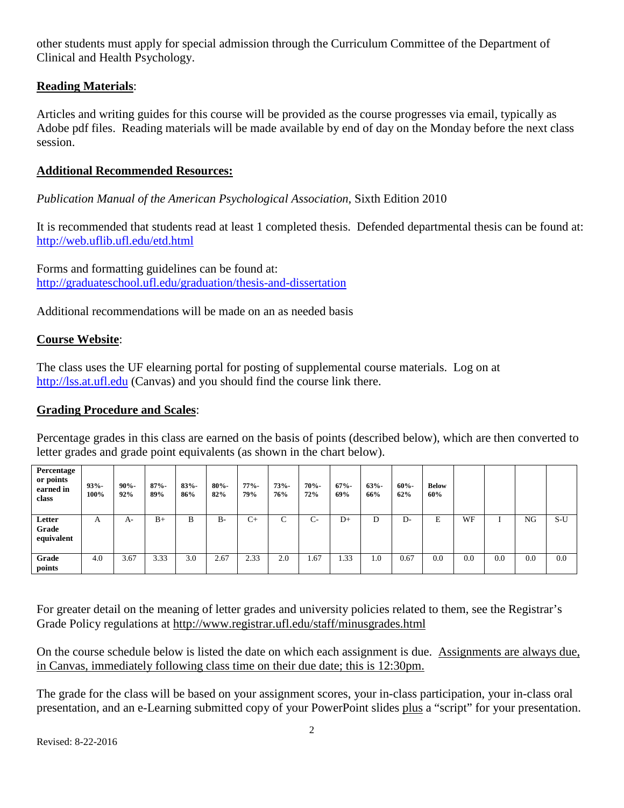other students must apply for special admission through the Curriculum Committee of the Department of Clinical and Health Psychology.

## **Reading Materials**:

Articles and writing guides for this course will be provided as the course progresses via email, typically as Adobe pdf files. Reading materials will be made available by end of day on the Monday before the next class session.

## **Additional Recommended Resources:**

*Publication Manual of the American Psychological Association*, Sixth Edition 2010

It is recommended that students read at least 1 completed thesis. Defended departmental thesis can be found at: <http://web.uflib.ufl.edu/etd.html>

Forms and formatting guidelines can be found at: <http://graduateschool.ufl.edu/graduation/thesis-and-dissertation>

Additional recommendations will be made on an as needed basis

## **Course Website**:

The class uses the UF elearning portal for posting of supplemental course materials. Log on at [http://lss.at.ufl.edu](http://lss.at.ufl.edu/) (Canvas) and you should find the course link there.

## **Grading Procedure and Scales**:

Percentage grades in this class are earned on the basis of points (described below), which are then converted to letter grades and grade point equivalents (as shown in the chart below).

| Percentage<br>or points<br>earned in<br>class | $93% -$<br>100% | $90% -$<br>92% | $87% -$<br>89% | $83% -$<br>86% | $80% -$<br>82% | $77% -$<br>79% | $73% -$<br>76% | $70% -$<br>72% | $67% -$<br>69% | $63% -$<br>66% | $60% -$<br>62% | <b>Below</b><br>60% |     |     |     |       |
|-----------------------------------------------|-----------------|----------------|----------------|----------------|----------------|----------------|----------------|----------------|----------------|----------------|----------------|---------------------|-----|-----|-----|-------|
| Letter<br>Grade<br>equivalent                 | А               | A-             | $B+$           | В              | $B-$           | $C_{\pm}$      | Ċ              | $C-$           | $D+$           | D              | D-             | E                   | WF  |     | NG  | $S-U$ |
| Grade<br>points                               | 4.0             | 3.67           | 3.33           | 3.0            | 2.67           | 2.33           | 2.0            | 1.67           | 1.33           | 0.1            | 0.67           | 0.0                 | 0.0 | 0.0 | 0.0 | 0.0   |

For greater detail on the meaning of letter grades and university policies related to them, see the Registrar's Grade Policy regulations at http://www.registrar.ufl.edu/staff/minusgrades.html

On the course schedule below is listed the date on which each assignment is due. Assignments are always due, in Canvas, immediately following class time on their due date; this is 12:30pm.

The grade for the class will be based on your assignment scores, your in-class participation, your in-class oral presentation, and an e-Learning submitted copy of your PowerPoint slides plus a "script" for your presentation.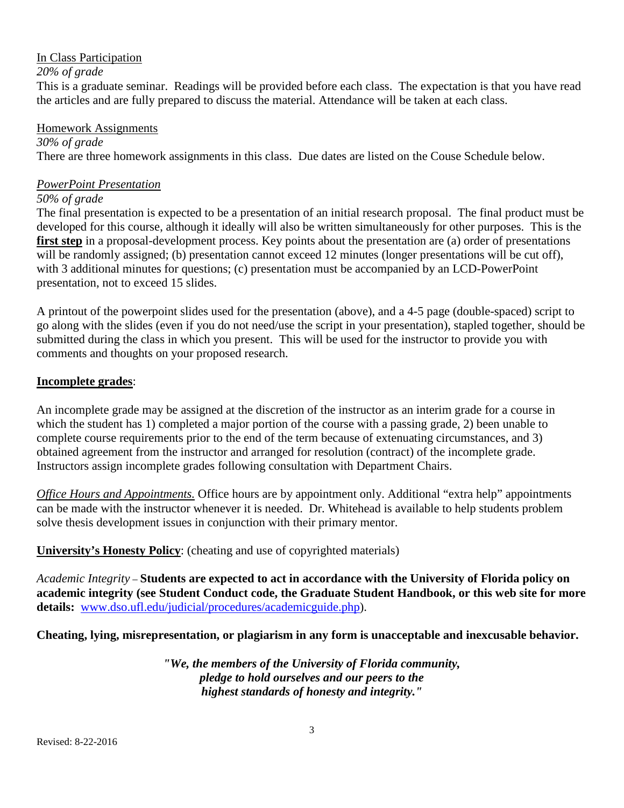#### In Class Participation

*20% of grade*

This is a graduate seminar. Readings will be provided before each class. The expectation is that you have read the articles and are fully prepared to discuss the material. Attendance will be taken at each class.

#### Homework Assignments

*30% of grade* There are three homework assignments in this class. Due dates are listed on the Couse Schedule below.

#### *PowerPoint Presentation*

#### *50% of grade*

The final presentation is expected to be a presentation of an initial research proposal. The final product must be developed for this course, although it ideally will also be written simultaneously for other purposes. This is the **first step** in a proposal-development process. Key points about the presentation are (a) order of presentations will be randomly assigned; (b) presentation cannot exceed 12 minutes (longer presentations will be cut off), with 3 additional minutes for questions; (c) presentation must be accompanied by an LCD-PowerPoint presentation, not to exceed 15 slides.

A printout of the powerpoint slides used for the presentation (above), and a 4-5 page (double-spaced) script to go along with the slides (even if you do not need/use the script in your presentation), stapled together, should be submitted during the class in which you present. This will be used for the instructor to provide you with comments and thoughts on your proposed research.

## **Incomplete grades**:

An incomplete grade may be assigned at the discretion of the instructor as an interim grade for a course in which the student has 1) completed a major portion of the course with a passing grade, 2) been unable to complete course requirements prior to the end of the term because of extenuating circumstances, and 3) obtained agreement from the instructor and arranged for resolution (contract) of the incomplete grade. Instructors assign incomplete grades following consultation with Department Chairs.

*Office Hours and Appointments.* Office hours are by appointment only. Additional "extra help" appointments can be made with the instructor whenever it is needed. Dr. Whitehead is available to help students problem solve thesis development issues in conjunction with their primary mentor.

**University's Honesty Policy**: (cheating and use of copyrighted materials)

*Academic Integrity* – **Students are expected to act in accordance with the University of Florida policy on academic integrity (see Student Conduct code, the Graduate Student Handbook, or this web site for more details:** [www.dso.ufl.edu/judicial/procedures/academicguide.php\)](http://www.dso.ufl.edu/judicial/procedures/academicguide.php).

**Cheating, lying, misrepresentation, or plagiarism in any form is unacceptable and inexcusable behavior.**

*"We, the members of the University of Florida community, pledge to hold ourselves and our peers to the highest standards of honesty and integrity."*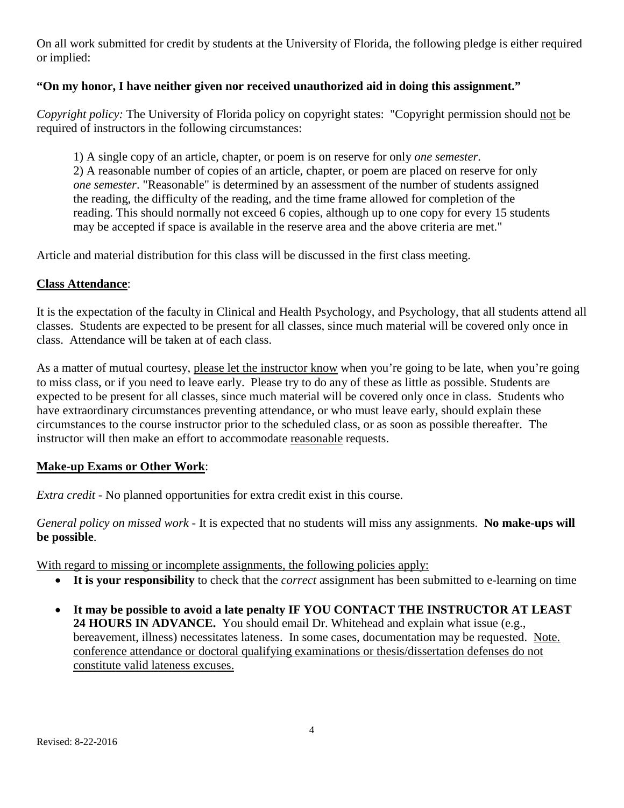On all work submitted for credit by students at the University of Florida, the following pledge is either required or implied:

# **"On my honor, I have neither given nor received unauthorized aid in doing this assignment."**

*Copyright policy:* The University of Florida policy on copyright states: "Copyright permission should not be required of instructors in the following circumstances:

1) A single copy of an article, chapter, or poem is on reserve for only *one semester*. 2) A reasonable number of copies of an article, chapter, or poem are placed on reserve for only *one semester*. "Reasonable" is determined by an assessment of the number of students assigned the reading, the difficulty of the reading, and the time frame allowed for completion of the reading. This should normally not exceed 6 copies, although up to one copy for every 15 students may be accepted if space is available in the reserve area and the above criteria are met."

Article and material distribution for this class will be discussed in the first class meeting.

## **Class Attendance**:

It is the expectation of the faculty in Clinical and Health Psychology, and Psychology, that all students attend all classes. Students are expected to be present for all classes, since much material will be covered only once in class. Attendance will be taken at of each class.

As a matter of mutual courtesy, please let the instructor know when you're going to be late, when you're going to miss class, or if you need to leave early. Please try to do any of these as little as possible. Students are expected to be present for all classes, since much material will be covered only once in class. Students who have extraordinary circumstances preventing attendance, or who must leave early, should explain these circumstances to the course instructor prior to the scheduled class, or as soon as possible thereafter. The instructor will then make an effort to accommodate reasonable requests.

## **Make-up Exams or Other Work**:

*Extra credit* - No planned opportunities for extra credit exist in this course.

*General policy on missed work* - It is expected that no students will miss any assignments. **No make-ups will be possible**.

With regard to missing or incomplete assignments, the following policies apply:

- **It is your responsibility** to check that the *correct* assignment has been submitted to e-learning on time
- **It may be possible to avoid a late penalty IF YOU CONTACT THE INSTRUCTOR AT LEAST 24 HOURS IN ADVANCE.** You should email Dr. Whitehead and explain what issue (e.g., bereavement, illness) necessitates lateness. In some cases, documentation may be requested. Note. conference attendance or doctoral qualifying examinations or thesis/dissertation defenses do not constitute valid lateness excuses.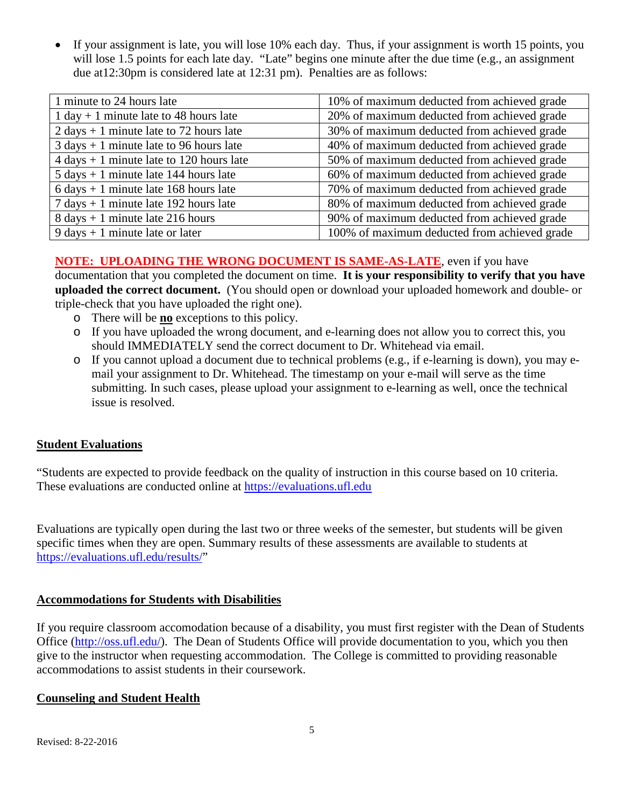• If your assignment is late, you will lose 10% each day. Thus, if your assignment is worth 15 points, you will lose 1.5 points for each late day. "Late" begins one minute after the due time (e.g., an assignment due at12:30pm is considered late at 12:31 pm). Penalties are as follows:

| 1 minute to 24 hours late                                  | 10% of maximum deducted from achieved grade  |
|------------------------------------------------------------|----------------------------------------------|
| $1 day + 1 minute$ late to 48 hours late                   | 20% of maximum deducted from achieved grade  |
| $2 \text{ days} + 1 \text{ minute}$ late to 72 hours late  | 30% of maximum deducted from achieved grade  |
| $3 \text{ days} + 1 \text{ minute}$ late to 96 hours late  | 40% of maximum deducted from achieved grade  |
| $4 \text{ days} + 1 \text{ minute}$ late to 120 hours late | 50% of maximum deducted from achieved grade  |
| $5 \text{ days} + 1 \text{ minute}$ late 144 hours late    | 60% of maximum deducted from achieved grade  |
| $6 \text{ days} + 1 \text{ minute}$ late 168 hours late    | 70% of maximum deducted from achieved grade  |
| $7 \text{ days} + 1 \text{ minute}$ late 192 hours late    | 80% of maximum deducted from achieved grade  |
| $8 \text{ days} + 1 \text{ minute}$ late 216 hours         | 90% of maximum deducted from achieved grade  |
| $9 \text{ days} + 1 \text{ minute}$ late or later          | 100% of maximum deducted from achieved grade |

# **NOTE: UPLOADING THE WRONG DOCUMENT IS SAME-AS-LATE**, even if you have

documentation that you completed the document on time. **It is your responsibility to verify that you have uploaded the correct document.** (You should open or download your uploaded homework and double- or triple-check that you have uploaded the right one).

- o There will be **no** exceptions to this policy.
- o If you have uploaded the wrong document, and e-learning does not allow you to correct this, you should IMMEDIATELY send the correct document to Dr. Whitehead via email.
- o If you cannot upload a document due to technical problems (e.g., if e-learning is down), you may email your assignment to Dr. Whitehead. The timestamp on your e-mail will serve as the time submitting. In such cases, please upload your assignment to e-learning as well, once the technical issue is resolved.

## **Student Evaluations**

"Students are expected to provide feedback on the quality of instruction in this course based on 10 criteria. These evaluations are conducted online at [https://evaluations.ufl.edu](https://evaluations.ufl.edu/)

Evaluations are typically open during the last two or three weeks of the semester, but students will be given specific times when they are open. Summary results of these assessments are available to students at [https://evaluations.ufl.edu/results/"](https://evaluations.ufl.edu/results/)

#### **Accommodations for Students with Disabilities**

If you require classroom accomodation because of a disability, you must first register with the Dean of Students Office [\(http://oss.ufl.edu/\)](http://oss.ufl.edu/). The Dean of Students Office will provide documentation to you, which you then give to the instructor when requesting accommodation. The College is committed to providing reasonable accommodations to assist students in their coursework.

## **Counseling and Student Health**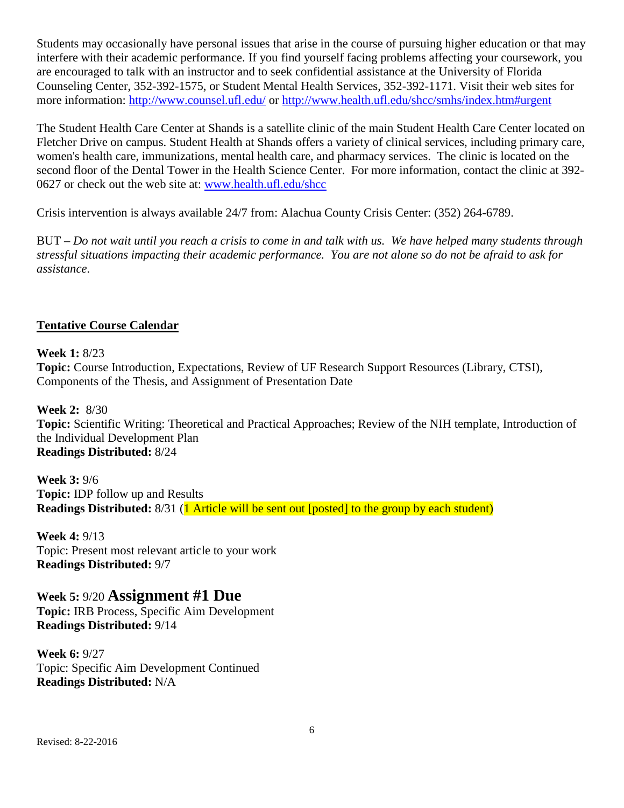Students may occasionally have personal issues that arise in the course of pursuing higher education or that may interfere with their academic performance. If you find yourself facing problems affecting your coursework, you are encouraged to talk with an instructor and to seek confidential assistance at the University of Florida Counseling Center, 352-392-1575, or Student Mental Health Services, 352-392-1171. Visit their web sites for more information:<http://www.counsel.ufl.edu/> or<http://www.health.ufl.edu/shcc/smhs/index.htm#urgent>

The Student Health Care Center at Shands is a satellite clinic of the main Student Health Care Center located on Fletcher Drive on campus. Student Health at Shands offers a variety of clinical services, including primary care, women's health care, immunizations, mental health care, and pharmacy services. The clinic is located on the second floor of the Dental Tower in the Health Science Center. For more information, contact the clinic at 392- 0627 or check out the web site at: [www.health.ufl.edu/shcc](http://www.health.ufl.edu/shcc)

Crisis intervention is always available 24/7 from: Alachua County Crisis Center: (352) 264-6789.

BUT – *Do not wait until you reach a crisis to come in and talk with us. We have helped many students through stressful situations impacting their academic performance. You are not alone so do not be afraid to ask for assistance*.

#### **Tentative Course Calendar**

**Week 1:** 8/23 **Topic:** Course Introduction, Expectations, Review of UF Research Support Resources (Library, CTSI), Components of the Thesis, and Assignment of Presentation Date

**Week 2:** 8/30 **Topic:** Scientific Writing: Theoretical and Practical Approaches; Review of the NIH template, Introduction of the Individual Development Plan **Readings Distributed:** 8/24

**Week 3:** 9/6 **Topic:** IDP follow up and Results **Readings Distributed:** 8/31 (**1** Article will be sent out [posted] to the group by each student)

**Week 4:** 9/13 Topic: Present most relevant article to your work **Readings Distributed:** 9/7

**Week 5:** 9/20 **Assignment #1 Due Topic:** IRB Process, Specific Aim Development **Readings Distributed:** 9/14

**Week 6:** 9/27 Topic: Specific Aim Development Continued **Readings Distributed:** N/A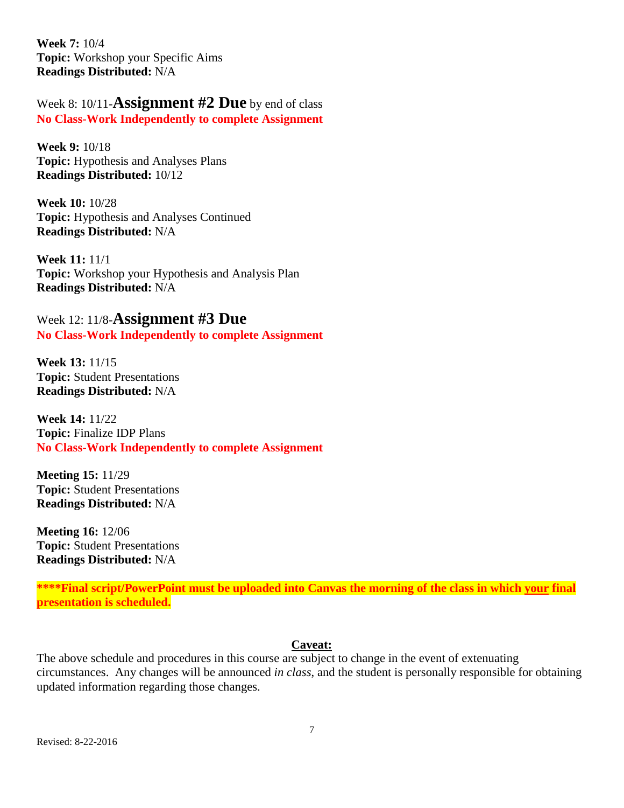**Week 7:** 10/4 **Topic:** Workshop your Specific Aims **Readings Distributed:** N/A

Week 8: 10/11-**Assignment #2 Due** by end of class **No Class-Work Independently to complete Assignment** 

**Week 9:** 10/18 **Topic:** Hypothesis and Analyses Plans **Readings Distributed:** 10/12

**Week 10:** 10/28 **Topic:** Hypothesis and Analyses Continued **Readings Distributed:** N/A

**Week 11:** 11/1 **Topic:** Workshop your Hypothesis and Analysis Plan **Readings Distributed:** N/A

Week 12: 11/8-**Assignment #3 Due No Class-Work Independently to complete Assignment** 

**Week 13:** 11/15 **Topic:** Student Presentations **Readings Distributed:** N/A

**Week 14:** 11/22 **Topic:** Finalize IDP Plans **No Class-Work Independently to complete Assignment** 

**Meeting 15:** 11/29 **Topic:** Student Presentations **Readings Distributed:** N/A

**Meeting 16:** 12/06 **Topic:** Student Presentations **Readings Distributed:** N/A

**\*\*\*\*Final script/PowerPoint must be uploaded into Canvas the morning of the class in which your final presentation is scheduled.**

## **Caveat:**

The above schedule and procedures in this course are subject to change in the event of extenuating circumstances. Any changes will be announced *in class*, and the student is personally responsible for obtaining updated information regarding those changes.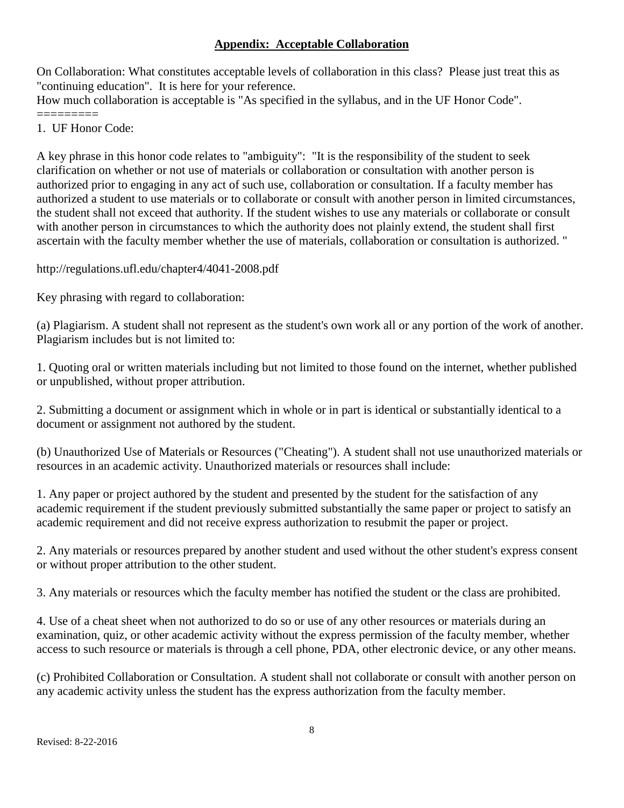## **Appendix: Acceptable Collaboration**

On Collaboration: What constitutes acceptable levels of collaboration in this class? Please just treat this as "continuing education". It is here for your reference.

How much collaboration is acceptable is "As specified in the syllabus, and in the UF Honor Code".

- =========
- 1. UF Honor Code:

A key phrase in this honor code relates to "ambiguity": "It is the responsibility of the student to seek clarification on whether or not use of materials or collaboration or consultation with another person is authorized prior to engaging in any act of such use, collaboration or consultation. If a faculty member has authorized a student to use materials or to collaborate or consult with another person in limited circumstances, the student shall not exceed that authority. If the student wishes to use any materials or collaborate or consult with another person in circumstances to which the authority does not plainly extend, the student shall first ascertain with the faculty member whether the use of materials, collaboration or consultation is authorized. "

http://regulations.ufl.edu/chapter4/4041-2008.pdf

Key phrasing with regard to collaboration:

(a) Plagiarism. A student shall not represent as the student's own work all or any portion of the work of another. Plagiarism includes but is not limited to:

1. Quoting oral or written materials including but not limited to those found on the internet, whether published or unpublished, without proper attribution.

2. Submitting a document or assignment which in whole or in part is identical or substantially identical to a document or assignment not authored by the student.

(b) Unauthorized Use of Materials or Resources ("Cheating"). A student shall not use unauthorized materials or resources in an academic activity. Unauthorized materials or resources shall include:

1. Any paper or project authored by the student and presented by the student for the satisfaction of any academic requirement if the student previously submitted substantially the same paper or project to satisfy an academic requirement and did not receive express authorization to resubmit the paper or project.

2. Any materials or resources prepared by another student and used without the other student's express consent or without proper attribution to the other student.

3. Any materials or resources which the faculty member has notified the student or the class are prohibited.

4. Use of a cheat sheet when not authorized to do so or use of any other resources or materials during an examination, quiz, or other academic activity without the express permission of the faculty member, whether access to such resource or materials is through a cell phone, PDA, other electronic device, or any other means.

(c) Prohibited Collaboration or Consultation. A student shall not collaborate or consult with another person on any academic activity unless the student has the express authorization from the faculty member.